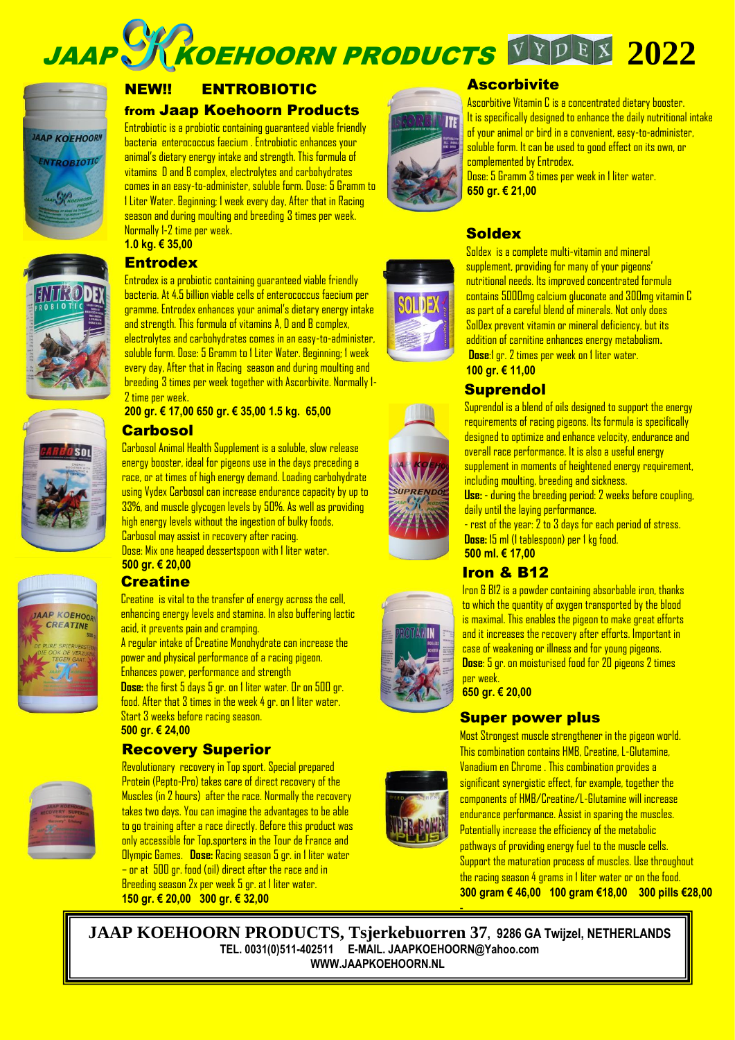**JAAP SK KOEHOORN PRODUCTS VYDEX 2022** 



# NEW!! ENTROBIOTIC

#### from Jaap Koehoorn Products

Entrobiotic is a probiotic containing guaranteed viable friendly bacteria enterococcus faecium . Entrobiotic enhances your animal's dietary energy intake and strength. This formula of vitamins D and B complex, electrolytes and carbohydrates comes in an easy-to-administer, soluble form. Dose: 5 Gramm to 1 Liter Water. Beginning; 1 week every day, After that in Racing season and during moulting and breeding 3 times per week. Normally 1-2 time per week.







JAAP KOEHOOR CREATING



**1.0 kg. € 35,00** 

## **Entrodex**

Entrodex is a probiotic containing guaranteed viable friendly bacteria. At 4.5 billion viable cells of enterococcus faecium per gramme. Entrodex enhances your animal's dietary energy intake and strength. This formula of vitamins A, D and B complex, electrolytes and carbohydrates comes in an easy-to-administer, soluble form. Dose: 5 Gramm to 1 Liter Water. Beginning; 1 week every day, After that in Racing season and during moulting and breeding 3 times per week together with Ascorbivite. Normally 1- 2 time per week.

**200 gr. € 17,00 650 gr. € 35,00 1.5 kg. 65,00** 

## **Carbosol**

Carbosol Animal Health Supplement is a soluble, slow release energy booster, ideal for pigeons use in the days preceding a race, or at times of high energy demand. Loading carbohydrate using Vydex Carbosol can increase endurance capacity by up to 33%, and muscle glycogen levels by 50%. As well as providing high energy levels without the ingestion of bulky foods, Carbosol may assist in recovery after racing. Dose: Mix one heaped dessertspoon with 1 liter water.

**500 gr. € 20,00**

# **Creatine**

Creatine is vital to the transfer of energy across the cell, enhancing energy levels and stamina. In also buffering lactic acid, it prevents pain and cramping.

A regular intake of Creatine Monohydrate can increase the power and physical performance of a racing pigeon. Enhances power, performance and strength **Dose:** the first 5 days 5 gr. on 1 liter water. Or on 500 gr. food. After that 3 times in the week 4 gr. on 1 liter water. Start 3 weeks before racing season.

**500 gr. € 24,00** 

# Recovery Superior



Revolutionary recovery in Top sport. Special prepared Protein (Pepto-Pro) takes care of direct recovery of the Muscles (in 2 hours) after the race. Normally the recovery takes two days. You can imagine the advantages to be able to go training after a race directly. Before this product was only accessible for Top,sporters in the Tour de France and Olympic Games. **Dose:** Racing season 5 gr. in 1 liter water – or at 500 gr. food (oil) direct after the race and in Breeding season 2x per week 5 gr. at 1 liter water. **150 gr. € 20,00 300 gr. € 32,00**



## **Ascorbivite**

Ascorbitive Vitamin C is a concentrated dietary booster. It is specifically designed to enhance the daily nutritional intake of your animal or bird in a convenient, easy-to-administer, soluble form. It can be used to good effect on its own, or complemented by Entrodex.

Dose: 5 Gramm 3 times per week in 1 liter water. **650 gr. € 21,00** 

## **Soldex**



Soldex is a complete multi-vitamin and mineral supplement, providing for many of your pigeons' nutritional needs. Its improved concentrated formula contains 5000mg calcium gluconate and 300mg vitamin C as part of a careful blend of minerals. Not only does SolDex prevent vitamin or mineral deficiency, but its addition of carnitine enhances energy metabolism**.**

**Dose:**1 gr. 2 times per week on 1 liter water. **100 gr. € 11,00** 

## **Suprendol**

Suprendol is a blend of oils designed to support the energy requirements of racing pigeons. Its formula is specifically designed to optimize and enhance velocity, endurance and overall race performance. It is also a useful energy supplement in moments of heightened energy requirement,

including moulting, breeding and sickness.

**Use:** - during the breeding period: 2 weeks before coupling, daily until the laying performance.

- rest of the year: 2 to 3 days for each period of stress. **Dose:** 15 ml (1 tablespoon) per 1 kg food. **500 ml. € 17,00**

# Iron & B12



Iron & B12 is a powder containing absorbable iron, thanks to which the quantity of oxygen transported by the blood is maximal. This enables the pigeon to make great efforts and it increases the recovery after efforts. Important in case of weakening or illness and for young pigeons. **Dose**: 5 gr. on moisturised food for 20 pigeons 2 times per week.

**650 gr. € 20,00** 

## Super power plus

Most Strongest muscle strengthener in the pigeon world. This combination contains HMB, Creatine, L-Glutamine, Vanadium en Chrome . This combination provides a significant synergistic effect, for example, together the components of HMB/Creatine/L-Glutamine will increase endurance performance. Assist in sparing the muscles. Potentially increase the efficiency of the metabolic pathways of providing energy fuel to the muscle cells. Support the maturation process of muscles. Use throughout the racing season 4 grams in 1 liter water or on the food. **300 gram € 46,00 100 gram €18,00 300 pills €28,00**

**JAAP KOEHOORN PRODUCTS, Tsjerkebuorren 37, 9286 GA Twijzel, NETHERLANDS TEL. 0031(0)511-402511 E-MAIL. JAAPKOEHOORN@Yahoo.com [WWW.JAAPKOEHOORN.NL](http://www.jaapkoehoorn.nl/)** 



-